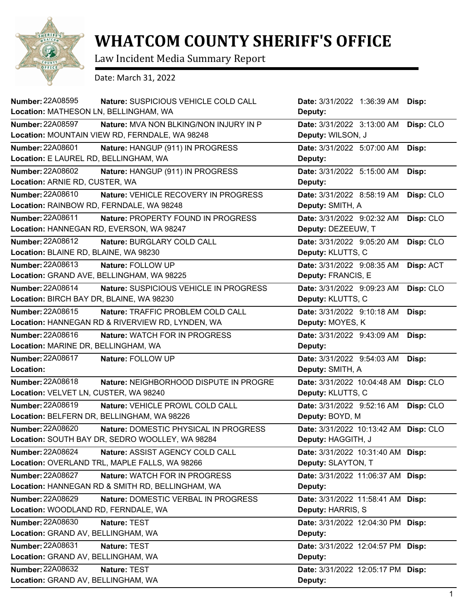

## **WHATCOM COUNTY SHERIFF'S OFFICE**

Law Incident Media Summary Report

Date: March 31, 2022

| <b>Number: 22A08595</b><br>Nature: SUSPICIOUS VEHICLE COLD CALL<br>Location: MATHESON LN, BELLINGHAM, WA                   | Date: 3/31/2022 1:36:39 AM<br>Deputy:                       | Disp:     |
|----------------------------------------------------------------------------------------------------------------------------|-------------------------------------------------------------|-----------|
| <b>Number: 22A08597</b><br><b>Nature: MVA NON BLKING/NON INJURY IN P</b><br>Location: MOUNTAIN VIEW RD, FERNDALE, WA 98248 | Date: 3/31/2022 3:13:00 AM<br>Deputy: WILSON, J             | Disp: CLO |
| <b>Number: 22A08601</b><br>Nature: HANGUP (911) IN PROGRESS<br>Location: E LAUREL RD, BELLINGHAM, WA                       | Date: 3/31/2022 5:07:00 AM<br>Deputy:                       | Disp:     |
| <b>Number: 22A08602</b><br>Nature: HANGUP (911) IN PROGRESS<br>Location: ARNIE RD, CUSTER, WA                              | Date: 3/31/2022 5:15:00 AM<br>Deputy:                       | Disp:     |
| Number: 22A08610<br>Nature: VEHICLE RECOVERY IN PROGRESS<br>Location: RAINBOW RD, FERNDALE, WA 98248                       | Date: 3/31/2022 8:58:19 AM<br>Deputy: SMITH, A              | Disp: CLO |
| Number: 22A08611<br>Nature: PROPERTY FOUND IN PROGRESS<br>Location: HANNEGAN RD, EVERSON, WA 98247                         | Date: 3/31/2022 9:02:32 AM<br>Deputy: DEZEEUW, T            | Disp: CLO |
| Number: 22A08612<br>Nature: BURGLARY COLD CALL<br>Location: BLAINE RD, BLAINE, WA 98230                                    | Date: 3/31/2022 9:05:20 AM<br>Deputy: KLUTTS, C             | Disp: CLO |
| Number: 22A08613<br>Nature: FOLLOW UP<br>Location: GRAND AVE, BELLINGHAM, WA 98225                                         | Date: 3/31/2022 9:08:35 AM<br>Deputy: FRANCIS, E            | Disp: ACT |
| Number: 22A08614<br>Nature: SUSPICIOUS VEHICLE IN PROGRESS<br>Location: BIRCH BAY DR, BLAINE, WA 98230                     | Date: 3/31/2022 9:09:23 AM<br>Deputy: KLUTTS, C             | Disp: CLO |
| Number: 22A08615<br>Nature: TRAFFIC PROBLEM COLD CALL<br>Location: HANNEGAN RD & RIVERVIEW RD, LYNDEN, WA                  | Date: 3/31/2022 9:10:18 AM<br>Deputy: MOYES, K              | Disp:     |
| Number: 22A08616<br>Nature: WATCH FOR IN PROGRESS                                                                          | Date: 3/31/2022 9:43:09 AM                                  | Disp:     |
| Location: MARINE DR, BELLINGHAM, WA                                                                                        | Deputy:                                                     |           |
| <b>Number: 22A08617</b><br>Nature: FOLLOW UP<br>Location:                                                                  | Date: 3/31/2022 9:54:03 AM<br>Deputy: SMITH, A              | Disp:     |
| <b>Number: 22A08618</b><br>Nature: NEIGHBORHOOD DISPUTE IN PROGRE<br>Location: VELVET LN, CUSTER, WA 98240                 | Date: 3/31/2022 10:04:48 AM Disp: CLO<br>Deputy: KLUTTS, C  |           |
| Number: 22A08619<br>Nature: VEHICLE PROWL COLD CALL<br>Location: BELFERN DR, BELLINGHAM, WA 98226                          | Date: 3/31/2022 9:52:16 AM<br>Deputy: BOYD, M               | Disp: CLO |
| <b>Number: 22A08620</b><br>Nature: DOMESTIC PHYSICAL IN PROGRESS<br>Location: SOUTH BAY DR, SEDRO WOOLLEY, WA 98284        | Date: 3/31/2022 10:13:42 AM Disp: CLO<br>Deputy: HAGGITH, J |           |
| <b>Number: 22A08624</b><br>Nature: ASSIST AGENCY COLD CALL<br>Location: OVERLAND TRL, MAPLE FALLS, WA 98266                | Date: 3/31/2022 10:31:40 AM Disp:<br>Deputy: SLAYTON, T     |           |
| Number: 22A08627<br>Nature: WATCH FOR IN PROGRESS<br>Location: HANNEGAN RD & SMITH RD, BELLINGHAM, WA                      | Date: 3/31/2022 11:06:37 AM Disp:<br>Deputy:                |           |
| <b>Number: 22A08629</b><br>Nature: DOMESTIC VERBAL IN PROGRESS<br>Location: WOODLAND RD, FERNDALE, WA                      | Date: 3/31/2022 11:58:41 AM Disp:<br>Deputy: HARRIS, S      |           |
| <b>Number: 22A08630</b><br>Nature: TEST<br>Location: GRAND AV, BELLINGHAM, WA                                              | Date: 3/31/2022 12:04:30 PM Disp:<br>Deputy:                |           |
| Number: 22A08631<br>Nature: TEST<br>Location: GRAND AV, BELLINGHAM, WA                                                     | Date: 3/31/2022 12:04:57 PM Disp:<br>Deputy:                |           |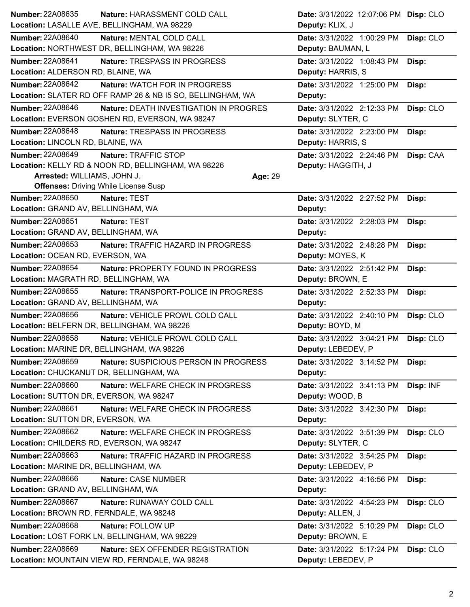| <b>Number: 22A08635</b>                   | Nature: HARASSMENT COLD CALL                               | Date: 3/31/2022 12:07:06 PM Disp: CLO   |
|-------------------------------------------|------------------------------------------------------------|-----------------------------------------|
|                                           | Location: LASALLE AVE, BELLINGHAM, WA 98229                | Deputy: KLIX, J                         |
| <b>Number: 22A08640</b>                   | Nature: MENTAL COLD CALL                                   | Date: 3/31/2022 1:00:29 PM<br>Disp: CLO |
|                                           | Location: NORTHWEST DR, BELLINGHAM, WA 98226               | Deputy: BAUMAN, L                       |
| <b>Number: 22A08641</b>                   | Nature: TRESPASS IN PROGRESS                               | Date: 3/31/2022 1:08:43 PM<br>Disp:     |
| Location: ALDERSON RD, BLAINE, WA         |                                                            | Deputy: HARRIS, S                       |
| <b>Number: 22A08642</b>                   | Nature: WATCH FOR IN PROGRESS                              | Date: 3/31/2022 1:25:00 PM<br>Disp:     |
|                                           | Location: SLATER RD OFF RAMP 26 & NB I5 SO, BELLINGHAM, WA | Deputy:                                 |
| <b>Number: 22A08646</b>                   | Nature: DEATH INVESTIGATION IN PROGRES                     | Date: 3/31/2022 2:12:33 PM<br>Disp: CLO |
|                                           | Location: EVERSON GOSHEN RD, EVERSON, WA 98247             | Deputy: SLYTER, C                       |
| <b>Number: 22A08648</b>                   | Nature: TRESPASS IN PROGRESS                               | Date: 3/31/2022 2:23:00 PM<br>Disp:     |
| Location: LINCOLN RD, BLAINE, WA          |                                                            | Deputy: HARRIS, S                       |
| Number: 22A08649                          | Nature: TRAFFIC STOP                                       | Date: 3/31/2022 2:24:46 PM Disp: CAA    |
|                                           | Location: KELLY RD & NOON RD, BELLINGHAM, WA 98226         | Deputy: HAGGITH, J                      |
| Arrested: WILLIAMS, JOHN J.               |                                                            | Age: 29                                 |
|                                           | <b>Offenses: Driving While License Susp</b>                |                                         |
| Number: 22A08650                          | Nature: TEST                                               | Date: 3/31/2022 2:27:52 PM<br>Disp:     |
| Location: GRAND AV, BELLINGHAM, WA        |                                                            | Deputy:                                 |
| Number: 22A08651                          | Nature: TEST                                               | Date: 3/31/2022 2:28:03 PM<br>Disp:     |
| Location: GRAND AV, BELLINGHAM, WA        |                                                            | Deputy:                                 |
| Number: 22A08653                          | Nature: TRAFFIC HAZARD IN PROGRESS                         | Date: 3/31/2022 2:48:28 PM<br>Disp:     |
| Location: OCEAN RD, EVERSON, WA           |                                                            | Deputy: MOYES, K                        |
| <b>Number: 22A08654</b>                   | Nature: PROPERTY FOUND IN PROGRESS                         | Date: 3/31/2022 2:51:42 PM<br>Disp:     |
| Location: MAGRATH RD, BELLINGHAM, WA      |                                                            | Deputy: BROWN, E                        |
| Number: 22A08655                          | Nature: TRANSPORT-POLICE IN PROGRESS                       | Date: 3/31/2022 2:52:33 PM<br>Disp:     |
| Location: GRAND AV, BELLINGHAM, WA        |                                                            | Deputy:                                 |
| Number: 22A08656                          | Nature: VEHICLE PROWL COLD CALL                            | Date: 3/31/2022 2:40:10 PM<br>Disp: CLO |
|                                           | Location: BELFERN DR, BELLINGHAM, WA 98226                 | Deputy: BOYD, M                         |
| <b>Number: 22A08658</b>                   | Nature: VEHICLE PROWL COLD CALL                            | Date: 3/31/2022 3:04:21 PM<br>Disp: CLO |
| Location: MARINE DR, BELLINGHAM, WA 98226 |                                                            | Deputy: LEBEDEV, P                      |
| Number: 22A08659                          | Nature: SUSPICIOUS PERSON IN PROGRESS                      | Date: 3/31/2022 3:14:52 PM<br>Disp:     |
| Location: CHUCKANUT DR, BELLINGHAM, WA    |                                                            | Deputy:                                 |
| <b>Number: 22A08660</b>                   | Nature: WELFARE CHECK IN PROGRESS                          | Disp: INF<br>Date: 3/31/2022 3:41:13 PM |
| Location: SUTTON DR, EVERSON, WA 98247    |                                                            | Deputy: WOOD, B                         |
| Number: 22A08661                          | Nature: WELFARE CHECK IN PROGRESS                          | Date: 3/31/2022 3:42:30 PM<br>Disp:     |
| Location: SUTTON DR, EVERSON, WA          |                                                            | Deputy:                                 |
| Number: 22A08662                          | Nature: WELFARE CHECK IN PROGRESS                          | Date: 3/31/2022 3:51:39 PM<br>Disp: CLO |
| Location: CHILDERS RD, EVERSON, WA 98247  |                                                            | Deputy: SLYTER, C                       |
| Number: 22A08663                          | Nature: TRAFFIC HAZARD IN PROGRESS                         | Date: 3/31/2022 3:54:25 PM<br>Disp:     |
| Location: MARINE DR, BELLINGHAM, WA       |                                                            | Deputy: LEBEDEV, P                      |
| <b>Number: 22A08666</b>                   | Nature: CASE NUMBER                                        | Date: 3/31/2022 4:16:56 PM<br>Disp:     |
| Location: GRAND AV, BELLINGHAM, WA        |                                                            | Deputy:                                 |
| Number: 22A08667                          | Nature: RUNAWAY COLD CALL                                  | Disp: CLO<br>Date: 3/31/2022 4:54:23 PM |
| Location: BROWN RD, FERNDALE, WA 98248    |                                                            | Deputy: ALLEN, J                        |
| <b>Number: 22A08668</b>                   | Nature: FOLLOW UP                                          | Date: 3/31/2022 5:10:29 PM<br>Disp: CLO |
|                                           | Location: LOST FORK LN, BELLINGHAM, WA 98229               | Deputy: BROWN, E                        |
| Number: 22A08669                          | Nature: SEX OFFENDER REGISTRATION                          | Date: 3/31/2022 5:17:24 PM<br>Disp: CLO |
|                                           | Location: MOUNTAIN VIEW RD, FERNDALE, WA 98248             | Deputy: LEBEDEV, P                      |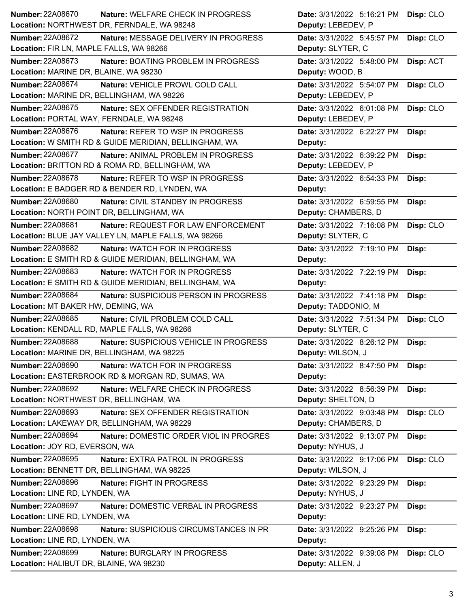| Number: 22A08670                                      | <b>Nature: WELFARE CHECK IN PROGRESS</b> | Date: 3/31/2022 5:16:21 PM | Disp: CLO |
|-------------------------------------------------------|------------------------------------------|----------------------------|-----------|
| Location: NORTHWEST DR, FERNDALE, WA 98248            |                                          | Deputy: LEBEDEV, P         |           |
| <b>Number: 22A08672</b>                               | Nature: MESSAGE DELIVERY IN PROGRESS     | Date: 3/31/2022 5:45:57 PM | Disp: CLO |
| Location: FIR LN, MAPLE FALLS, WA 98266               |                                          | Deputy: SLYTER, C          |           |
| Number: 22A08673                                      | Nature: BOATING PROBLEM IN PROGRESS      | Date: 3/31/2022 5:48:00 PM | Disp: ACT |
| Location: MARINE DR, BLAINE, WA 98230                 |                                          | Deputy: WOOD, B            |           |
| <b>Number: 22A08674</b>                               | Nature: VEHICLE PROWL COLD CALL          | Date: 3/31/2022 5:54:07 PM | Disp: CLO |
| Location: MARINE DR, BELLINGHAM, WA 98226             |                                          | Deputy: LEBEDEV, P         |           |
| Number: 22A08675                                      | Nature: SEX OFFENDER REGISTRATION        | Date: 3/31/2022 6:01:08 PM | Disp: CLO |
| Location: PORTAL WAY, FERNDALE, WA 98248              |                                          | Deputy: LEBEDEV, P         |           |
| Number: 22A08676                                      | Nature: REFER TO WSP IN PROGRESS         | Date: 3/31/2022 6:22:27 PM | Disp:     |
| Location: W SMITH RD & GUIDE MERIDIAN, BELLINGHAM, WA |                                          | Deputy:                    |           |
| <b>Number: 22A08677</b>                               | Nature: ANIMAL PROBLEM IN PROGRESS       | Date: 3/31/2022 6:39:22 PM | Disp:     |
| Location: BRITTON RD & ROMA RD, BELLINGHAM, WA        |                                          | Deputy: LEBEDEV, P         |           |
| Number: 22A08678                                      | Nature: REFER TO WSP IN PROGRESS         | Date: 3/31/2022 6:54:33 PM | Disp:     |
| Location: E BADGER RD & BENDER RD, LYNDEN, WA         |                                          | Deputy:                    |           |
| <b>Number: 22A08680</b>                               | <b>Nature: CIVIL STANDBY IN PROGRESS</b> | Date: 3/31/2022 6:59:55 PM | Disp:     |
| Location: NORTH POINT DR, BELLINGHAM, WA              |                                          | Deputy: CHAMBERS, D        |           |
| <b>Number: 22A08681</b>                               | Nature: REQUEST FOR LAW ENFORCEMENT      | Date: 3/31/2022 7:16:08 PM | Disp: CLO |
| Location: BLUE JAY VALLEY LN, MAPLE FALLS, WA 98266   |                                          | Deputy: SLYTER, C          |           |
| <b>Number: 22A08682</b>                               | Nature: WATCH FOR IN PROGRESS            | Date: 3/31/2022 7:19:10 PM | Disp:     |
| Location: E SMITH RD & GUIDE MERIDIAN, BELLINGHAM, WA |                                          | Deputy:                    |           |
| Number: 22A08683                                      | <b>Nature: WATCH FOR IN PROGRESS</b>     | Date: 3/31/2022 7:22:19 PM | Disp:     |
| Location: E SMITH RD & GUIDE MERIDIAN, BELLINGHAM, WA |                                          | Deputy:                    |           |
|                                                       |                                          |                            |           |
| <b>Number: 22A08684</b>                               | Nature: SUSPICIOUS PERSON IN PROGRESS    | Date: 3/31/2022 7:41:18 PM | Disp:     |
| Location: MT BAKER HW, DEMING, WA                     |                                          | Deputy: TADDONIO, M        |           |
| Number: 22A08685                                      | Nature: CIVIL PROBLEM COLD CALL          | Date: 3/31/2022 7:51:34 PM | Disp: CLO |
| Location: KENDALL RD, MAPLE FALLS, WA 98266           |                                          | Deputy: SLYTER, C          |           |
| <b>Number: 22A08688</b>                               | Nature: SUSPICIOUS VEHICLE IN PROGRESS   | Date: 3/31/2022 8:26:12 PM | Disp:     |
| Location: MARINE DR, BELLINGHAM, WA 98225             |                                          | Deputy: WILSON, J          |           |
| <b>Number: 22A08690</b>                               | <b>Nature: WATCH FOR IN PROGRESS</b>     | Date: 3/31/2022 8:47:50 PM | Disp:     |
| Location: EASTERBROOK RD & MORGAN RD, SUMAS, WA       |                                          | Deputy:                    |           |
| Number: 22A08692                                      | Nature: WELFARE CHECK IN PROGRESS        | Date: 3/31/2022 8:56:39 PM | Disp:     |
| Location: NORTHWEST DR, BELLINGHAM, WA                |                                          | Deputy: SHELTON, D         |           |
| Number: 22A08693                                      | Nature: SEX OFFENDER REGISTRATION        | Date: 3/31/2022 9:03:48 PM | Disp: CLO |
| Location: LAKEWAY DR, BELLINGHAM, WA 98229            |                                          | Deputy: CHAMBERS, D        |           |
| Number: 22A08694                                      | Nature: DOMESTIC ORDER VIOL IN PROGRES   | Date: 3/31/2022 9:13:07 PM | Disp:     |
| Location: JOY RD, EVERSON, WA                         |                                          | Deputy: NYHUS, J           |           |
| Number: 22A08695                                      | Nature: EXTRA PATROL IN PROGRESS         | Date: 3/31/2022 9:17:06 PM | Disp: CLO |
| Location: BENNETT DR, BELLINGHAM, WA 98225            |                                          | Deputy: WILSON, J          |           |
| <b>Number: 22A08696</b>                               | Nature: FIGHT IN PROGRESS                | Date: 3/31/2022 9:23:29 PM | Disp:     |
| Location: LINE RD, LYNDEN, WA                         |                                          | Deputy: NYHUS, J           |           |
| Number: 22A08697                                      | Nature: DOMESTIC VERBAL IN PROGRESS      | Date: 3/31/2022 9:23:27 PM | Disp:     |
| Location: LINE RD, LYNDEN, WA                         |                                          | Deputy:                    |           |
| <b>Number: 22A08698</b>                               | Nature: SUSPICIOUS CIRCUMSTANCES IN PR   | Date: 3/31/2022 9:25:26 PM | Disp:     |
| Location: LINE RD, LYNDEN, WA                         |                                          | Deputy:                    |           |
| <b>Number: 22A08699</b>                               | Nature: BURGLARY IN PROGRESS             | Date: 3/31/2022 9:39:08 PM | Disp: CLO |